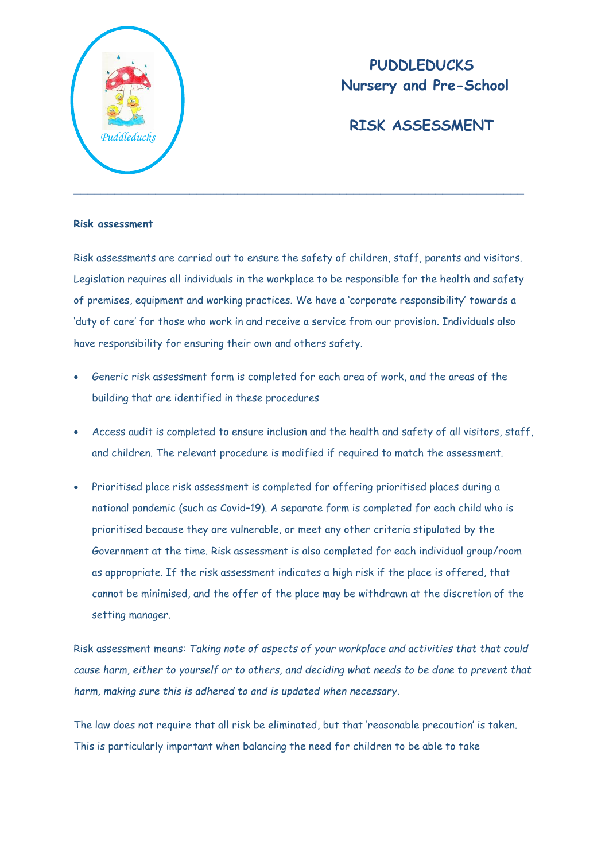

# **PUDDLEDUCKS Nursery and Pre-School**

# **RISK ASSESSMENT**

## **Risk assessment**

Risk assessments are carried out to ensure the safety of children, staff, parents and visitors. Legislation requires all individuals in the workplace to be responsible for the health and safety of premises, equipment and working practices. We have a 'corporate responsibility' towards a 'duty of care' for those who work in and receive a service from our provision. Individuals also have responsibility for ensuring their own and others safety.

- Generic risk assessment form is completed for each area of work, and the areas of the building that are identified in these procedures
- Access audit is completed to ensure inclusion and the health and safety of all visitors, staff, and children. The relevant procedure is modified if required to match the assessment.
- Prioritised place risk assessment is completed for offering prioritised places during a national pandemic (such as Covid–19). A separate form is completed for each child who is prioritised because they are vulnerable, or meet any other criteria stipulated by the Government at the time. Risk assessment is also completed for each individual group/room as appropriate. If the risk assessment indicates a high risk if the place is offered, that cannot be minimised, and the offer of the place may be withdrawn at the discretion of the setting manager.

Risk assessment means: *Taking note of aspects of your workplace and activities that that could cause harm, either to yourself or to others, and deciding what needs to be done to prevent that harm, making sure this is adhered to and is updated when necessary*.

The law does not require that all risk be eliminated, but that 'reasonable precaution' is taken. This is particularly important when balancing the need for children to be able to take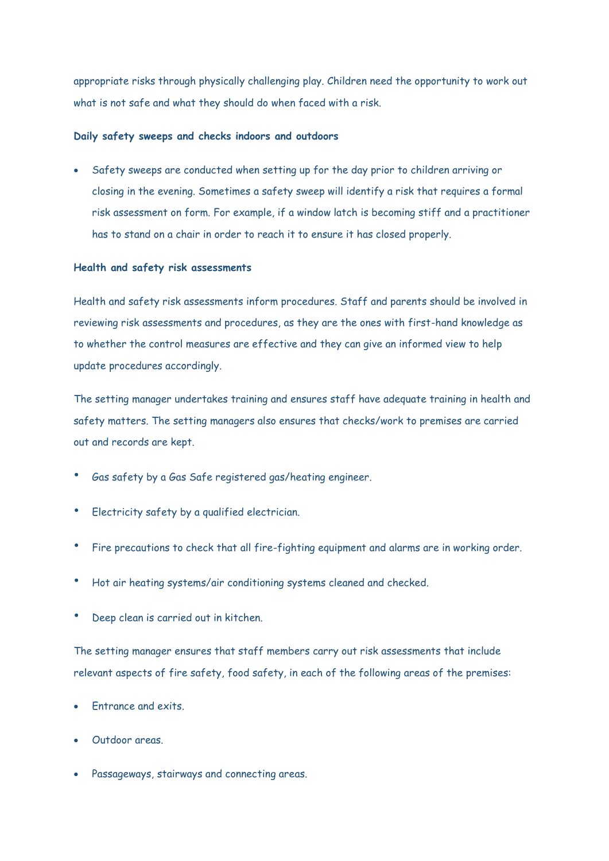appropriate risks through physically challenging play. Children need the opportunity to work out what is not safe and what they should do when faced with a risk.

#### **Daily safety sweeps and checks indoors and outdoors**

 Safety sweeps are conducted when setting up for the day prior to children arriving or closing in the evening. Sometimes a safety sweep will identify a risk that requires a formal risk assessment on form. For example, if a window latch is becoming stiff and a practitioner has to stand on a chair in order to reach it to ensure it has closed properly.

### **Health and safety risk assessments**

Health and safety risk assessments inform procedures. Staff and parents should be involved in reviewing risk assessments and procedures, as they are the ones with first-hand knowledge as to whether the control measures are effective and they can give an informed view to help update procedures accordingly.

The setting manager undertakes training and ensures staff have adequate training in health and safety matters. The setting managers also ensures that checks/work to premises are carried out and records are kept.

- Gas safety by a Gas Safe registered gas/heating engineer.
- Electricity safety by a qualified electrician.
- Fire precautions to check that all fire-fighting equipment and alarms are in working order.
- Hot air heating systems/air conditioning systems cleaned and checked.
- Deep clean is carried out in kitchen.

The setting manager ensures that staff members carry out risk assessments that include relevant aspects of fire safety, food safety, in each of the following areas of the premises:

- Entrance and exits.
- Outdoor areas.
- Passageways, stairways and connecting areas.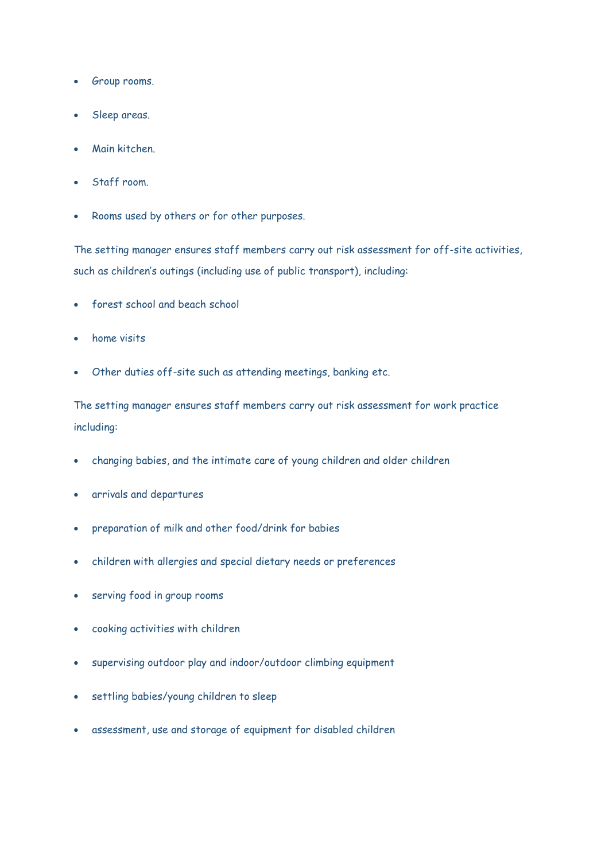- Group rooms.
- Sleep areas.
- Main kitchen.
- Staff room.
- Rooms used by others or for other purposes.

The setting manager ensures staff members carry out risk assessment for off-site activities, such as children's outings (including use of public transport), including:

- forest school and beach school
- home visits
- Other duties off-site such as attending meetings, banking etc.

The setting manager ensures staff members carry out risk assessment for work practice including:

- changing babies, and the intimate care of young children and older children
- arrivals and departures
- preparation of milk and other food/drink for babies
- children with allergies and special dietary needs or preferences
- serving food in group rooms
- cooking activities with children
- supervising outdoor play and indoor/outdoor climbing equipment
- settling babies/young children to sleep
- assessment, use and storage of equipment for disabled children